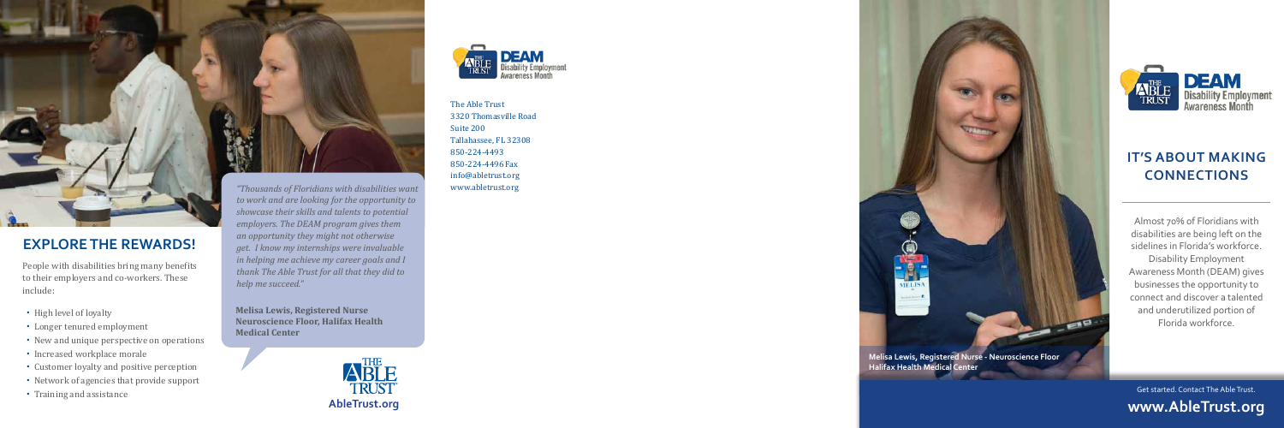## **IT'S ABOUT MAKING CONNECTIONS**

Almost 70% of Floridians with disabilities are being left on the sidelines in Florida's workforce. Disability Employment Awareness Month (DEAM) gives businesses the opportunity to connect and discover a talented and underutilized portion of Florida workforce.

- High level of loyalty
- Longer tenured employment
- New and unique perspective on operations
- Increased workplace morale
- Customer loyalty and positive perception
- Network of agencies that provide support
- Training and assistance

The Able Trust 3320 Thomasville Road Suite 200 Tallahassee, FL 32308 850-224-4493 850-224-4496 Fax info@abletrust.org www.abletrust.org



# **EXPLORE THE REWARDS!**

People with disabilities bring many benefits to their employers and co-workers. These include:

*"Thousands of Floridians with disabilities want to work and are looking for the opportunity to showcase their skills and talents to potential employers. The DEAM program gives them an opportunity they might not otherwise get. I know my internships were invaluable in helping me achieve my career goals and I thank The Able Trust for all that they did to help me succeed."* 





**Melisa Lewis, Registered Nurse Neuroscience Floor, Halifax Health Medical Center** 

> Get started. Contact The Able Trust. **www.AbleTrust.org**



**Halifax Health Medical Center**